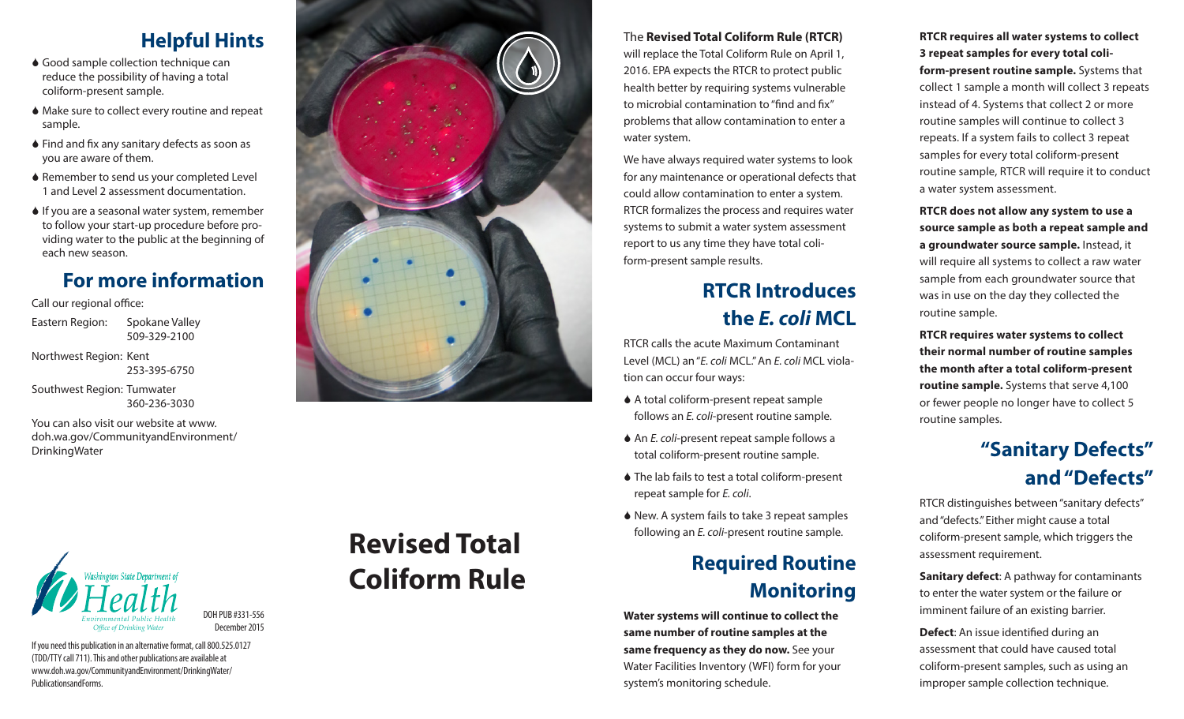#### **Helpful Hints**

- ♦ Good sample collection technique can reduce the possibility of having a total coliform-present sample.
- Make sure to collect every routine and repeat sample.
- ♦ Find and fix any sanitary defects as soon as you are aware of them.
- ♦ Remember to send us your completed Level 1 and Level 2 assessment documentation.
- $\bullet$  If you are a seasonal water system, remember to follow your start-up procedure before pro viding water to the public at the beginning of each new season.

#### **For more information**

Call our regional office:

Eastern Region: Spokane Valley 509-329-2100

Northwest Region: Kent 253-395-6750

Southwest Region: Tumwater 360-236-3030

You can also visit our website at www. doh.wa.gov/CommunityandEnvironment/ DrinkingWater



If you need this publication in an alternative format, call 800.525.0127 (TDD/TTY call 711). This and other publications are available at www.doh.wa.gov/CommunityandEnvironment/DrinkingWater/ PublicationsandForms.

December 2015

# **Revised Total Coliform Rule**



We have always required water systems to look for any maintenance or operational defects that could allow contamination to enter a system. RTCR formalizes the process and requires water systems to submit a water system assessment report to us any time they have total coli form-present sample results.

## **RTCR Introduces the** *E. coli* **MCL**

RTCR calls the acute Maximum Contaminant Level (MCL) an "*E. coli* MCL." An *E. coli* MCL viola tion can occur four ways:

- A total coliform-present repeat sample follows an *E. coli*-present routine sample.
- ◆ An *E. coli-*present repeat sample follows a total coliform-present routine sample.
- ♦ The lab fails to test a total coliform-present repeat sample for *E. coli*.
- ♦ New. A system fails to take 3 repeat samples following an *E. coli*-present routine sample.

#### **Required Routine Monitoring**

**Water systems will continue to collect the same number of routine samples at the same frequency as they do now.** See your Water Facilities Inventory (WFI) form for your system's monitoring schedule.

**RTCR requires all water systems to collect 3 repeat samples for every total coli form-present routine sample.** Systems that collect 1 sample a month will collect 3 repeats instead of 4. Systems that collect 2 or more routine samples will continue to collect 3 repeats. If a system fails to collect 3 repeat samples for every total coliform-present routine sample, RTCR will require it to conduct a water system assessment.

**RTCR does not allow any system to use a source sample as both a repeat sample and a groundwater source sample.** Instead, it will require all systems to collect a raw water sample from each groundwater source that was in use on the day they collected the routine sample.

**RTCR requires water systems to collect their normal number of routine samples the month after a total coliform-present routine sample.** Systems that serve 4,100 or fewer people no longer have to collect 5 routine samples.

### **"Sanitary Defects" and "Defects"**

RTCR distinguishes between "sanitary defects" and "defects." Either might cause a total coliform-present sample, which triggers the assessment requirement.

**Sanitary defect**: A pathway for contaminants to enter the water system or the failure or imminent failure of an existing barrier.

**Defect**: An issue identified during an assessment that could have caused total coliform-present samples, such as using an improper sample collection technique.